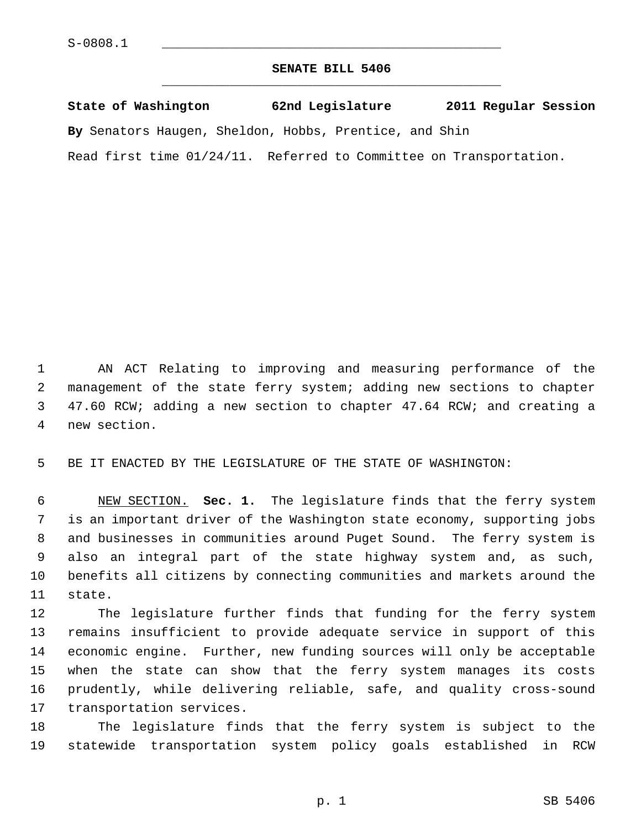## **SENATE BILL 5406** \_\_\_\_\_\_\_\_\_\_\_\_\_\_\_\_\_\_\_\_\_\_\_\_\_\_\_\_\_\_\_\_\_\_\_\_\_\_\_\_\_\_\_\_\_

| State of Washington | 62nd Legislature                                                   | 2011 Regular Session |
|---------------------|--------------------------------------------------------------------|----------------------|
|                     | By Senators Haugen, Sheldon, Hobbs, Prentice, and Shin             |                      |
|                     | Read first time 01/24/11. Referred to Committee on Transportation. |                      |

 1 AN ACT Relating to improving and measuring performance of the 2 management of the state ferry system; adding new sections to chapter 3 47.60 RCW; adding a new section to chapter 47.64 RCW; and creating a 4 new section.

5 BE IT ENACTED BY THE LEGISLATURE OF THE STATE OF WASHINGTON:

 6 NEW SECTION. **Sec. 1.** The legislature finds that the ferry system 7 is an important driver of the Washington state economy, supporting jobs 8 and businesses in communities around Puget Sound. The ferry system is 9 also an integral part of the state highway system and, as such, 10 benefits all citizens by connecting communities and markets around the 11 state.

12 The legislature further finds that funding for the ferry system 13 remains insufficient to provide adequate service in support of this 14 economic engine. Further, new funding sources will only be acceptable 15 when the state can show that the ferry system manages its costs 16 prudently, while delivering reliable, safe, and quality cross-sound 17 transportation services.

18 The legislature finds that the ferry system is subject to the 19 statewide transportation system policy goals established in RCW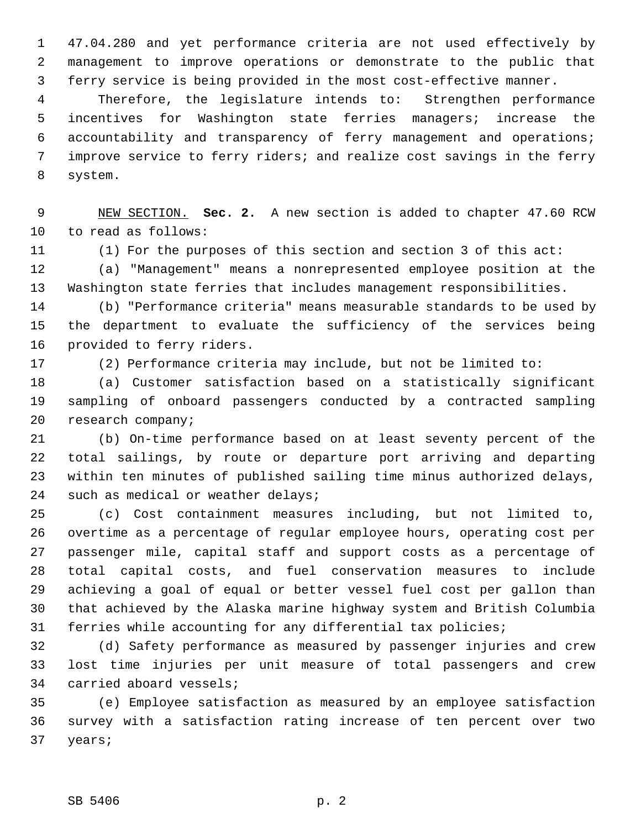1 47.04.280 and yet performance criteria are not used effectively by 2 management to improve operations or demonstrate to the public that 3 ferry service is being provided in the most cost-effective manner.

 4 Therefore, the legislature intends to: Strengthen performance 5 incentives for Washington state ferries managers; increase the 6 accountability and transparency of ferry management and operations; 7 improve service to ferry riders; and realize cost savings in the ferry 8 system.

 9 NEW SECTION. **Sec. 2.** A new section is added to chapter 47.60 RCW 10 to read as follows:

11 (1) For the purposes of this section and section 3 of this act:

12 (a) "Management" means a nonrepresented employee position at the 13 Washington state ferries that includes management responsibilities.

14 (b) "Performance criteria" means measurable standards to be used by 15 the department to evaluate the sufficiency of the services being 16 provided to ferry riders.

17 (2) Performance criteria may include, but not be limited to:

18 (a) Customer satisfaction based on a statistically significant 19 sampling of onboard passengers conducted by a contracted sampling 20 research company;

21 (b) On-time performance based on at least seventy percent of the 22 total sailings, by route or departure port arriving and departing 23 within ten minutes of published sailing time minus authorized delays, 24 such as medical or weather delays;

25 (c) Cost containment measures including, but not limited to, 26 overtime as a percentage of regular employee hours, operating cost per 27 passenger mile, capital staff and support costs as a percentage of 28 total capital costs, and fuel conservation measures to include 29 achieving a goal of equal or better vessel fuel cost per gallon than 30 that achieved by the Alaska marine highway system and British Columbia 31 ferries while accounting for any differential tax policies;

32 (d) Safety performance as measured by passenger injuries and crew 33 lost time injuries per unit measure of total passengers and crew 34 carried aboard vessels;

35 (e) Employee satisfaction as measured by an employee satisfaction 36 survey with a satisfaction rating increase of ten percent over two 37 years;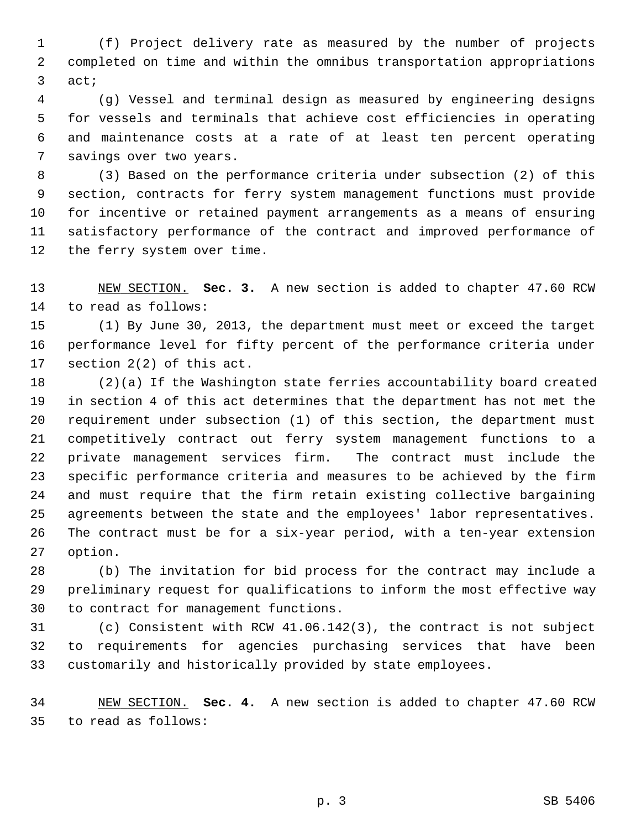1 (f) Project delivery rate as measured by the number of projects 2 completed on time and within the omnibus transportation appropriations 3 act;

 4 (g) Vessel and terminal design as measured by engineering designs 5 for vessels and terminals that achieve cost efficiencies in operating 6 and maintenance costs at a rate of at least ten percent operating 7 savings over two years.

 8 (3) Based on the performance criteria under subsection (2) of this 9 section, contracts for ferry system management functions must provide 10 for incentive or retained payment arrangements as a means of ensuring 11 satisfactory performance of the contract and improved performance of 12 the ferry system over time.

13 NEW SECTION. **Sec. 3.** A new section is added to chapter 47.60 RCW 14 to read as follows:

15 (1) By June 30, 2013, the department must meet or exceed the target 16 performance level for fifty percent of the performance criteria under 17 section 2(2) of this act.

18 (2)(a) If the Washington state ferries accountability board created 19 in section 4 of this act determines that the department has not met the 20 requirement under subsection (1) of this section, the department must 21 competitively contract out ferry system management functions to a 22 private management services firm. The contract must include the 23 specific performance criteria and measures to be achieved by the firm 24 and must require that the firm retain existing collective bargaining 25 agreements between the state and the employees' labor representatives. 26 The contract must be for a six-year period, with a ten-year extension 27 option.

28 (b) The invitation for bid process for the contract may include a 29 preliminary request for qualifications to inform the most effective way 30 to contract for management functions.

31 (c) Consistent with RCW 41.06.142(3), the contract is not subject 32 to requirements for agencies purchasing services that have been 33 customarily and historically provided by state employees.

34 NEW SECTION. **Sec. 4.** A new section is added to chapter 47.60 RCW 35 to read as follows: